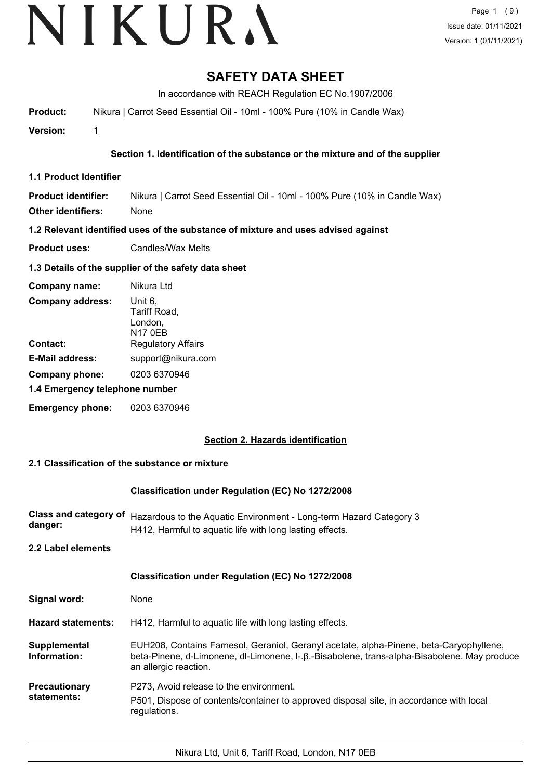# VIKURA

# **SAFETY DATA SHEET**

In accordance with REACH Regulation EC No.1907/2006

**Product:** Nikura | Carrot Seed Essential Oil - 10ml - 100% Pure (10% in Candle Wax)

**Version:** 1

# **Section 1. Identification of the substance or the mixture and of the supplier**

**1.1 Product Identifier**

**Product identifier:** Nikura | Carrot Seed Essential Oil - 10ml - 100% Pure (10% in Candle Wax) **Other identifiers:** None

**1.2 Relevant identified uses of the substance of mixture and uses advised against**

**Product uses:** Candles/Wax Melts

# **1.3 Details of the supplier of the safety data sheet**

| Company name:                  | Nikura Ltd                                    |
|--------------------------------|-----------------------------------------------|
| <b>Company address:</b>        | Unit 6,<br>Tariff Road,<br>London,<br>N17 0EB |
| Contact:                       | <b>Regulatory Affairs</b>                     |
| <b>E-Mail address:</b>         | support@nikura.com                            |
| Company phone:                 | 0203 6370946                                  |
| 1.4 Emergency telephone number |                                               |
| <b>Emergency phone:</b>        | 0203 6370946                                  |

# **Section 2. Hazards identification**

# **2.1 Classification of the substance or mixture**

# **Classification under Regulation (EC) No 1272/2008**

Class and category of Hazardous to the Aquatic Environment - Long-term Hazard Category 3 **danger:** H412, Harmful to aquatic life with long lasting effects.

**2.2 Label elements**

|                                     | <b>Classification under Regulation (EC) No 1272/2008</b>                                                                                                                                                        |
|-------------------------------------|-----------------------------------------------------------------------------------------------------------------------------------------------------------------------------------------------------------------|
| Signal word:                        | None                                                                                                                                                                                                            |
| <b>Hazard statements:</b>           | H412, Harmful to aquatic life with long lasting effects.                                                                                                                                                        |
| Supplemental<br>Information:        | EUH208, Contains Farnesol, Geraniol, Geranyl acetate, alpha-Pinene, beta-Caryophyllene,<br>beta-Pinene, d-Limonene, dl-Limonene, l-.β.-Bisabolene, trans-alpha-Bisabolene. May produce<br>an allergic reaction. |
| <b>Precautionary</b><br>statements: | P273, Avoid release to the environment.<br>P501, Dispose of contents/container to approved disposal site, in accordance with local<br>regulations.                                                              |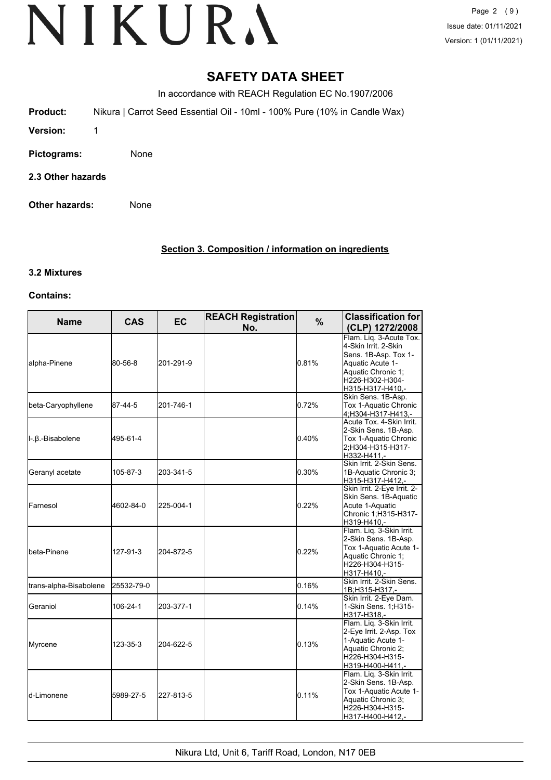Page 2 (9) Issue date: 01/11/2021 Version: 1 (01/11/2021)

# **SAFETY DATA SHEET**

In accordance with REACH Regulation EC No.1907/2006

**Product:** Nikura | Carrot Seed Essential Oil - 10ml - 100% Pure (10% in Candle Wax)

- **Version:** 1
- **Pictograms:** None
- **2.3 Other hazards**
- **Other hazards:** None

# **Section 3. Composition / information on ingredients**

# **3.2 Mixtures**

# **Contains:**

| <b>Name</b>            | <b>CAS</b> | <b>EC</b> | <b>REACH Registration</b><br>No. | $\%$     | <b>Classification for</b><br>(CLP) 1272/2008                                                                                                             |
|------------------------|------------|-----------|----------------------------------|----------|----------------------------------------------------------------------------------------------------------------------------------------------------------|
| alpha-Pinene           | 80-56-8    | 201-291-9 |                                  | 0.81%    | Flam. Lig. 3-Acute Tox.<br>4-Skin Irrit. 2-Skin<br>Sens. 1B-Asp. Tox 1-<br>Aquatic Acute 1-<br>Aquatic Chronic 1;<br>H226-H302-H304-<br>H315-H317-H410,- |
| beta-Caryophyllene     | 87-44-5    | 201-746-1 |                                  | 0.72%    | Skin Sens. 1B-Asp.<br>Tox 1-Aquatic Chronic<br>4;H304-H317-H413,-                                                                                        |
| II-.β.-Bisabolene      | 495-61-4   |           |                                  | 0.40%    | Acute Tox. 4-Skin Irrit.<br>2-Skin Sens. 1B-Asp.<br>Tox 1-Aquatic Chronic<br>2:H304-H315-H317-<br>H332-H411.-                                            |
| Geranyl acetate        | 105-87-3   | 203-341-5 |                                  | 0.30%    | Skin Irrit. 2-Skin Sens.<br>1B-Aquatic Chronic 3;<br>H315-H317-H412.-                                                                                    |
| Farnesol               | 4602-84-0  | 225-004-1 |                                  | 0.22%    | Skin Irrit. 2-Eye Irrit. 2-<br>Skin Sens. 1B-Aquatic<br>Acute 1-Aquatic<br>Chronic 1:H315-H317-<br>H319-H410,-                                           |
| lbeta-Pinene           | 127-91-3   | 204-872-5 |                                  | $0.22\%$ | Flam. Liq. 3-Skin Irrit.<br>2-Skin Sens. 1B-Asp.<br>Tox 1-Aquatic Acute 1-<br>Aquatic Chronic 1:<br>H226-H304-H315-<br>H317-H410,-                       |
| trans-alpha-Bisabolene | 25532-79-0 |           |                                  | 0.16%    | Skin Irrit. 2-Skin Sens.<br>1B;H315-H317,-                                                                                                               |
| Geraniol               | 106-24-1   | 203-377-1 |                                  | 0.14%    | Skin Irrit. 2-Eye Dam.<br>1-Skin Sens. 1; H315-<br>H317-H318,-                                                                                           |
| Myrcene                | 123-35-3   | 204-622-5 |                                  | 0.13%    | Flam. Liq. 3-Skin Irrit.<br>2-Eye Irrit. 2-Asp. Tox<br>1-Aquatic Acute 1-<br>Aquatic Chronic 2;<br>H226-H304-H315-<br>H319-H400-H411,-                   |
| ld-Limonene            | 5989-27-5  | 227-813-5 |                                  | 0.11%    | Flam. Liq. 3-Skin Irrit.<br>2-Skin Sens. 1B-Asp.<br>Tox 1-Aquatic Acute 1-<br>Aquatic Chronic 3;<br>H226-H304-H315-<br>H317-H400-H412,-                  |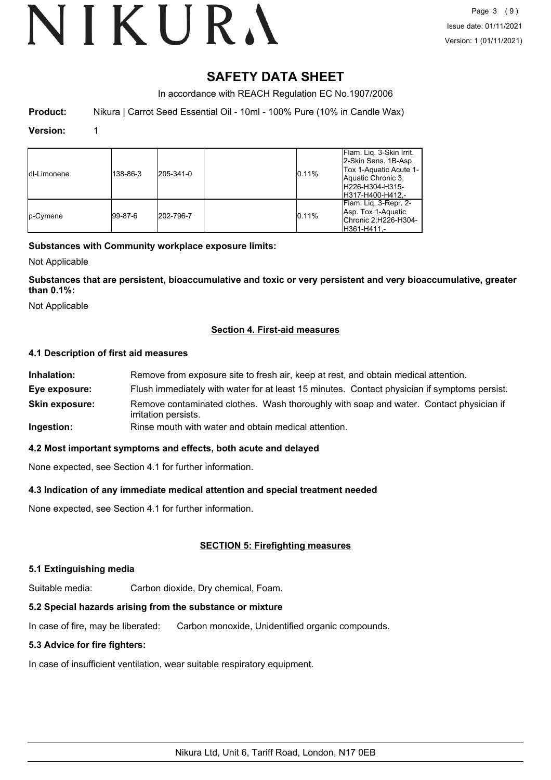# **SAFETY DATA SHEET**

In accordance with REACH Regulation EC No.1907/2006

**Product:** Nikura | Carrot Seed Essential Oil - 10ml - 100% Pure (10% in Candle Wax)

## **Version:** 1

| <b>Idl-Limonene</b> | 138-86-3 | 205-341-0 | 0.11% | Flam. Lig. 3-Skin Irrit.<br>2-Skin Sens. 1B-Asp.<br>Tox 1-Aquatic Acute 1-<br>Aquatic Chronic 3;<br>H226-H304-H315-<br>H317-H400-H412.- |
|---------------------|----------|-----------|-------|-----------------------------------------------------------------------------------------------------------------------------------------|
| <b>Ip-Cymene</b>    | 99-87-6  | 202-796-7 | 0.11% | Flam. Lig. 3-Repr. 2-<br>Asp. Tox 1-Aquatic<br>Chronic 2;H226-H304-<br>H361-H411.-                                                      |

# **Substances with Community workplace exposure limits:**

Not Applicable

**Substances that are persistent, bioaccumulative and toxic or very persistent and very bioaccumulative, greater than 0.1%:**

Not Applicable

# **Section 4. First-aid measures**

# **4.1 Description of first aid measures**

| Inhalation:           | Remove from exposure site to fresh air, keep at rest, and obtain medical attention.                            |
|-----------------------|----------------------------------------------------------------------------------------------------------------|
| Eye exposure:         | Flush immediately with water for at least 15 minutes. Contact physician if symptoms persist.                   |
| <b>Skin exposure:</b> | Remove contaminated clothes. Wash thoroughly with soap and water. Contact physician if<br>irritation persists. |
| Ingestion:            | Rinse mouth with water and obtain medical attention.                                                           |

# **4.2 Most important symptoms and effects, both acute and delayed**

None expected, see Section 4.1 for further information.

# **4.3 Indication of any immediate medical attention and special treatment needed**

None expected, see Section 4.1 for further information.

# **SECTION 5: Firefighting measures**

# **5.1 Extinguishing media**

Suitable media: Carbon dioxide, Dry chemical, Foam.

# **5.2 Special hazards arising from the substance or mixture**

In case of fire, may be liberated: Carbon monoxide, Unidentified organic compounds.

# **5.3 Advice for fire fighters:**

In case of insufficient ventilation, wear suitable respiratory equipment.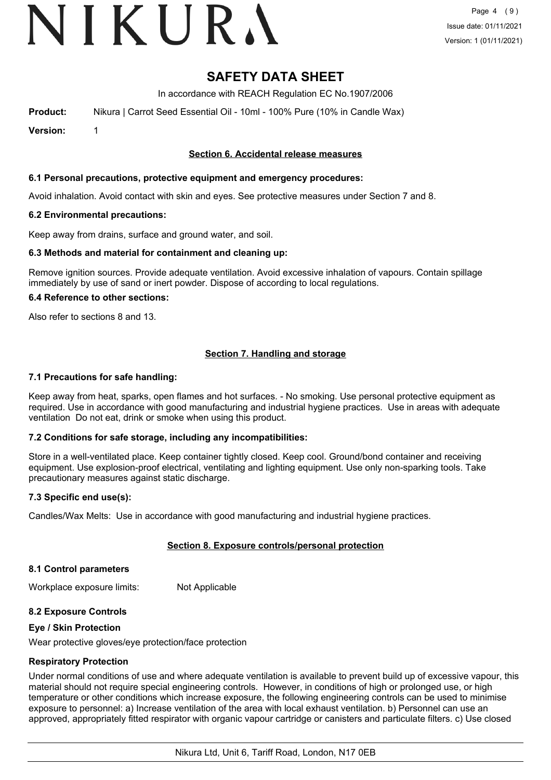# VIKURA

# **SAFETY DATA SHEET**

In accordance with REACH Regulation EC No.1907/2006

**Product:** Nikura | Carrot Seed Essential Oil - 10ml - 100% Pure (10% in Candle Wax)

**Version:** 1

# **Section 6. Accidental release measures**

# **6.1 Personal precautions, protective equipment and emergency procedures:**

Avoid inhalation. Avoid contact with skin and eyes. See protective measures under Section 7 and 8.

# **6.2 Environmental precautions:**

Keep away from drains, surface and ground water, and soil.

### **6.3 Methods and material for containment and cleaning up:**

Remove ignition sources. Provide adequate ventilation. Avoid excessive inhalation of vapours. Contain spillage immediately by use of sand or inert powder. Dispose of according to local regulations.

### **6.4 Reference to other sections:**

Also refer to sections 8 and 13.

# **Section 7. Handling and storage**

### **7.1 Precautions for safe handling:**

Keep away from heat, sparks, open flames and hot surfaces. - No smoking. Use personal protective equipment as required. Use in accordance with good manufacturing and industrial hygiene practices. Use in areas with adequate ventilation Do not eat, drink or smoke when using this product.

# **7.2 Conditions for safe storage, including any incompatibilities:**

Store in a well-ventilated place. Keep container tightly closed. Keep cool. Ground/bond container and receiving equipment. Use explosion-proof electrical, ventilating and lighting equipment. Use only non-sparking tools. Take precautionary measures against static discharge.

# **7.3 Specific end use(s):**

Candles/Wax Melts: Use in accordance with good manufacturing and industrial hygiene practices.

# **Section 8. Exposure controls/personal protection**

### **8.1 Control parameters**

Workplace exposure limits: Not Applicable

# **8.2 Exposure Controls**

### **Eye / Skin Protection**

Wear protective gloves/eye protection/face protection

# **Respiratory Protection**

Under normal conditions of use and where adequate ventilation is available to prevent build up of excessive vapour, this material should not require special engineering controls. However, in conditions of high or prolonged use, or high temperature or other conditions which increase exposure, the following engineering controls can be used to minimise exposure to personnel: a) Increase ventilation of the area with local exhaust ventilation. b) Personnel can use an approved, appropriately fitted respirator with organic vapour cartridge or canisters and particulate filters. c) Use closed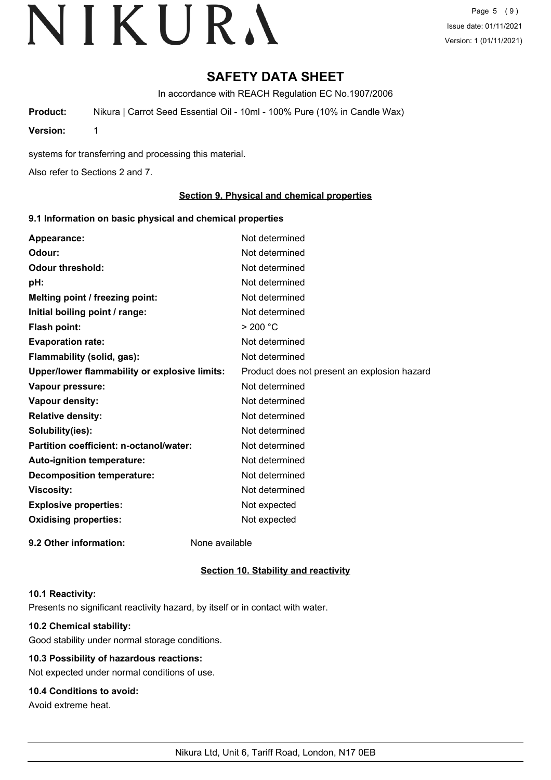Page 5 (9) Issue date: 01/11/2021 Version: 1 (01/11/2021)

# **SAFETY DATA SHEET**

In accordance with REACH Regulation EC No.1907/2006

**Product:** Nikura | Carrot Seed Essential Oil - 10ml - 100% Pure (10% in Candle Wax)

**Version:** 1

systems for transferring and processing this material.

Also refer to Sections 2 and 7.

# **Section 9. Physical and chemical properties**

# **9.1 Information on basic physical and chemical properties**

| Appearance:                                   | Not determined                               |
|-----------------------------------------------|----------------------------------------------|
| Odour:                                        | Not determined                               |
| <b>Odour threshold:</b>                       | Not determined                               |
| pH:                                           | Not determined                               |
| Melting point / freezing point:               | Not determined                               |
| Initial boiling point / range:                | Not determined                               |
| <b>Flash point:</b>                           | > 200 °C                                     |
| <b>Evaporation rate:</b>                      | Not determined                               |
| Flammability (solid, gas):                    | Not determined                               |
| Upper/lower flammability or explosive limits: | Product does not present an explosion hazard |
| Vapour pressure:                              | Not determined                               |
| Vapour density:                               | Not determined                               |
| <b>Relative density:</b>                      | Not determined                               |
| Solubility(ies):                              | Not determined                               |
| Partition coefficient: n-octanol/water:       | Not determined                               |
| Auto-ignition temperature:                    | Not determined                               |
| <b>Decomposition temperature:</b>             | Not determined                               |
| <b>Viscosity:</b>                             | Not determined                               |
| <b>Explosive properties:</b>                  | Not expected                                 |
| <b>Oxidising properties:</b>                  | Not expected                                 |
| 9.2 Other information:                        | None available                               |

# **Section 10. Stability and reactivity**

### **10.1 Reactivity:**

Presents no significant reactivity hazard, by itself or in contact with water.

# **10.2 Chemical stability:**

Good stability under normal storage conditions.

# **10.3 Possibility of hazardous reactions:**

Not expected under normal conditions of use.

# **10.4 Conditions to avoid:**

Avoid extreme heat.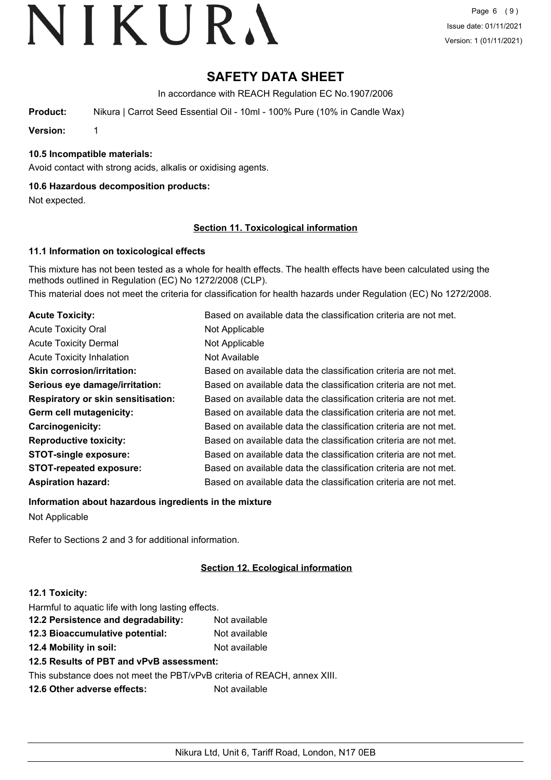Page 6 (9) Issue date: 01/11/2021 Version: 1 (01/11/2021)

# **SAFETY DATA SHEET**

In accordance with REACH Regulation EC No.1907/2006

**Product:** Nikura | Carrot Seed Essential Oil - 10ml - 100% Pure (10% in Candle Wax)

**Version:** 1

# **10.5 Incompatible materials:**

Avoid contact with strong acids, alkalis or oxidising agents.

# **10.6 Hazardous decomposition products:**

Not expected.

### **Section 11. Toxicological information**

# **11.1 Information on toxicological effects**

This mixture has not been tested as a whole for health effects. The health effects have been calculated using the methods outlined in Regulation (EC) No 1272/2008 (CLP).

This material does not meet the criteria for classification for health hazards under Regulation (EC) No 1272/2008.

| <b>Acute Toxicity:</b>                    | Based on available data the classification criteria are not met. |
|-------------------------------------------|------------------------------------------------------------------|
| <b>Acute Toxicity Oral</b>                | Not Applicable                                                   |
| <b>Acute Toxicity Dermal</b>              | Not Applicable                                                   |
| <b>Acute Toxicity Inhalation</b>          | Not Available                                                    |
| <b>Skin corrosion/irritation:</b>         | Based on available data the classification criteria are not met. |
| Serious eye damage/irritation:            | Based on available data the classification criteria are not met. |
| <b>Respiratory or skin sensitisation:</b> | Based on available data the classification criteria are not met. |
| Germ cell mutagenicity:                   | Based on available data the classification criteria are not met. |
| Carcinogenicity:                          | Based on available data the classification criteria are not met. |
| <b>Reproductive toxicity:</b>             | Based on available data the classification criteria are not met. |
| <b>STOT-single exposure:</b>              | Based on available data the classification criteria are not met. |
| <b>STOT-repeated exposure:</b>            | Based on available data the classification criteria are not met. |
| <b>Aspiration hazard:</b>                 | Based on available data the classification criteria are not met. |

**Information about hazardous ingredients in the mixture**

Not Applicable

Refer to Sections 2 and 3 for additional information.

# **Section 12. Ecological information**

# **12.1 Toxicity:**

| Harmful to aquatic life with long lasting effects.                       |               |
|--------------------------------------------------------------------------|---------------|
| 12.2 Persistence and degradability:                                      | Not available |
| 12.3 Bioaccumulative potential:                                          | Not available |
| 12.4 Mobility in soil:                                                   | Not available |
| 12.5 Results of PBT and vPvB assessment:                                 |               |
| This substance does not meet the PBT/vPvB criteria of REACH, annex XIII. |               |
| 12.6 Other adverse effects:                                              | Not available |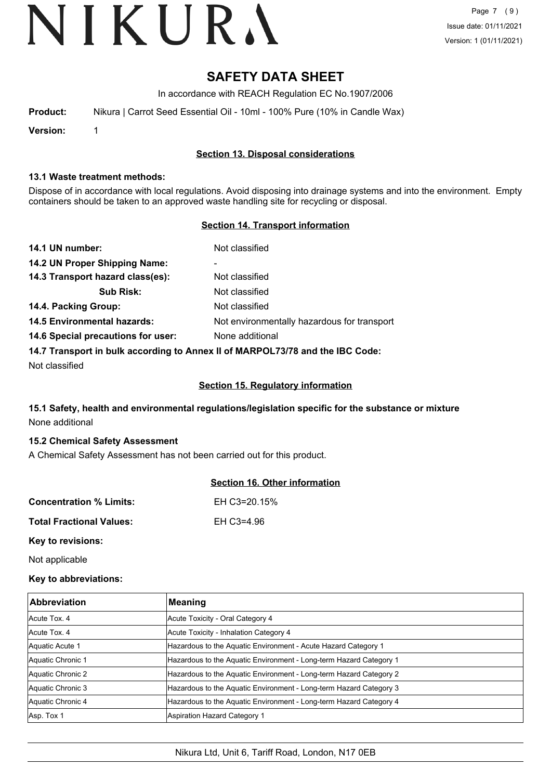Page 7 (9) Issue date: 01/11/2021 Version: 1 (01/11/2021)

# **SAFETY DATA SHEET**

In accordance with REACH Regulation EC No.1907/2006

**Product:** Nikura | Carrot Seed Essential Oil - 10ml - 100% Pure (10% in Candle Wax)

**Version:** 1

# **Section 13. Disposal considerations**

## **13.1 Waste treatment methods:**

Dispose of in accordance with local regulations. Avoid disposing into drainage systems and into the environment. Empty containers should be taken to an approved waste handling site for recycling or disposal.

# **Section 14. Transport information**

| 14.1 UN number:                                                               | Not classified                              |  |
|-------------------------------------------------------------------------------|---------------------------------------------|--|
| 14.2 UN Proper Shipping Name:                                                 | ۰                                           |  |
| 14.3 Transport hazard class(es):                                              | Not classified                              |  |
| <b>Sub Risk:</b>                                                              | Not classified                              |  |
| 14.4. Packing Group:                                                          | Not classified                              |  |
| <b>14.5 Environmental hazards:</b>                                            | Not environmentally hazardous for transport |  |
| 14.6 Special precautions for user:                                            | None additional                             |  |
| 14.7 Transport in bulk according to Annex II of MARPOL73/78 and the IBC Code: |                                             |  |

Not classified

# **Section 15. Regulatory information**

# **15.1 Safety, health and environmental regulations/legislation specific for the substance or mixture** None additional

# **15.2 Chemical Safety Assessment**

A Chemical Safety Assessment has not been carried out for this product.

# **Section 16. Other information**

| <b>Concentration % Limits:</b>  | EH C3=20.15% |
|---------------------------------|--------------|
| <b>Total Fractional Values:</b> | EH C3=4.96   |

**Key to revisions:**

Not applicable

# **Key to abbreviations:**

| <b>Abbreviation</b> | Meaning                                                            |
|---------------------|--------------------------------------------------------------------|
| Acute Tox, 4        | Acute Toxicity - Oral Category 4                                   |
| Acute Tox, 4        | Acute Toxicity - Inhalation Category 4                             |
| Aquatic Acute 1     | Hazardous to the Aquatic Environment - Acute Hazard Category 1     |
| Aquatic Chronic 1   | Hazardous to the Aquatic Environment - Long-term Hazard Category 1 |
| Aquatic Chronic 2   | Hazardous to the Aquatic Environment - Long-term Hazard Category 2 |
| Aquatic Chronic 3   | Hazardous to the Aquatic Environment - Long-term Hazard Category 3 |
| Aquatic Chronic 4   | Hazardous to the Aquatic Environment - Long-term Hazard Category 4 |
| Asp. Tox 1          | Aspiration Hazard Category 1                                       |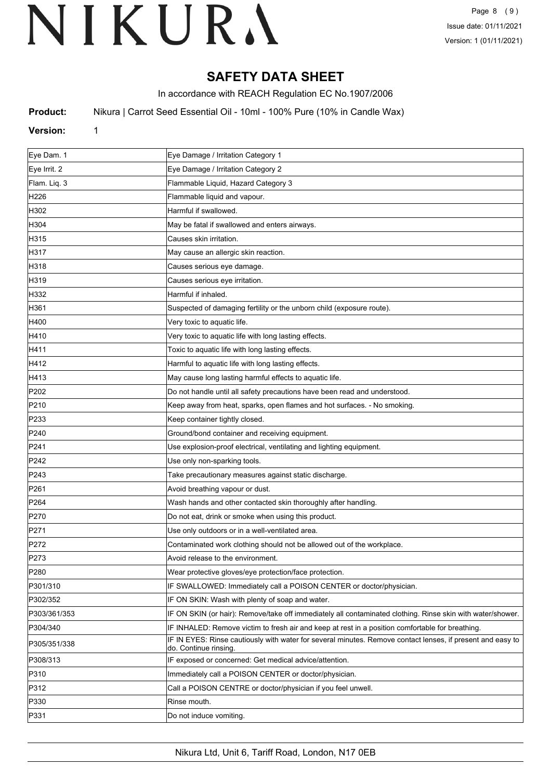# **SAFETY DATA SHEET**

In accordance with REACH Regulation EC No.1907/2006

**Product:** Nikura | Carrot Seed Essential Oil - 10ml - 100% Pure (10% in Candle Wax)

# **Version:** 1

| Eye Dam. 1       | Eye Damage / Irritation Category 1                                                                                                  |
|------------------|-------------------------------------------------------------------------------------------------------------------------------------|
| Eye Irrit. 2     | Eye Damage / Irritation Category 2                                                                                                  |
| Flam. Liq. 3     | Flammable Liquid, Hazard Category 3                                                                                                 |
| H226             | Flammable liquid and vapour.                                                                                                        |
| H302             | Harmful if swallowed.                                                                                                               |
| H304             | May be fatal if swallowed and enters airways.                                                                                       |
| H315             | Causes skin irritation.                                                                                                             |
| H317             | May cause an allergic skin reaction.                                                                                                |
| H318             | Causes serious eye damage.                                                                                                          |
| H319             | Causes serious eye irritation.                                                                                                      |
| H332             | Harmful if inhaled.                                                                                                                 |
| H361             | Suspected of damaging fertility or the unborn child (exposure route).                                                               |
| H400             | Very toxic to aquatic life.                                                                                                         |
| H410             | Very toxic to aquatic life with long lasting effects.                                                                               |
| H411             | Toxic to aquatic life with long lasting effects.                                                                                    |
| H412             | Harmful to aquatic life with long lasting effects.                                                                                  |
| H413             | May cause long lasting harmful effects to aquatic life.                                                                             |
| P202             | Do not handle until all safety precautions have been read and understood.                                                           |
| P210             | Keep away from heat, sparks, open flames and hot surfaces. - No smoking.                                                            |
| P233             | Keep container tightly closed.                                                                                                      |
| P240             | Ground/bond container and receiving equipment.                                                                                      |
| P241             | Use explosion-proof electrical, ventilating and lighting equipment.                                                                 |
| P242             | Use only non-sparking tools.                                                                                                        |
| P243             | Take precautionary measures against static discharge.                                                                               |
| P261             | Avoid breathing vapour or dust.                                                                                                     |
| P <sub>264</sub> | Wash hands and other contacted skin thoroughly after handling.                                                                      |
| P270             | Do not eat, drink or smoke when using this product.                                                                                 |
| P271             | Use only outdoors or in a well-ventilated area.                                                                                     |
| P272             | Contaminated work clothing should not be allowed out of the workplace.                                                              |
| P273             | Avoid release to the environment.                                                                                                   |
| P280             | Wear protective gloves/eye protection/face protection.                                                                              |
| P301/310         | IF SWALLOWED: Immediately call a POISON CENTER or doctor/physician.                                                                 |
| P302/352         | IF ON SKIN: Wash with plenty of soap and water.                                                                                     |
| P303/361/353     | IF ON SKIN (or hair): Remove/take off immediately all contaminated clothing. Rinse skin with water/shower.                          |
| P304/340         | IF INHALED: Remove victim to fresh air and keep at rest in a position comfortable for breathing.                                    |
| P305/351/338     | IF IN EYES: Rinse cautiously with water for several minutes. Remove contact lenses, if present and easy to<br>do. Continue rinsing. |
| P308/313         | IF exposed or concerned: Get medical advice/attention.                                                                              |
| P310             | Immediately call a POISON CENTER or doctor/physician.                                                                               |
| P312             | Call a POISON CENTRE or doctor/physician if you feel unwell.                                                                        |
| P330             | Rinse mouth.                                                                                                                        |
| P331             | Do not induce vomiting.                                                                                                             |